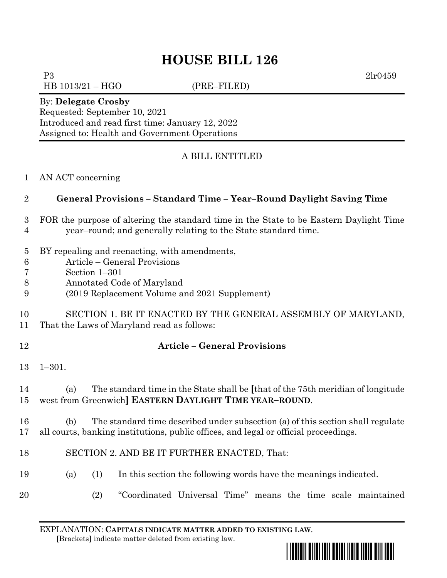# **HOUSE BILL 126**

P3 2lr0459

HB 1013/21 – HGO (PRE–FILED)

#### By: **Delegate Crosby**

Requested: September 10, 2021 Introduced and read first time: January 12, 2022 Assigned to: Health and Government Operations

### A BILL ENTITLED

#### AN ACT concerning

### **General Provisions – Standard Time – Year–Round Daylight Saving Time**

#### FOR the purpose of altering the standard time in the State to be Eastern Daylight Time year–round; and generally relating to the State standard time.

- BY repealing and reenacting, with amendments,
- Article General Provisions
- Section 1–301
- Annotated Code of Maryland
- (2019 Replacement Volume and 2021 Supplement)

 SECTION 1. BE IT ENACTED BY THE GENERAL ASSEMBLY OF MARYLAND, That the Laws of Maryland read as follows:

**Article – General Provisions**

1–301.

## (a) The standard time in the State shall be **[**that of the 75th meridian of longitude west from Greenwich**] EASTERN DAYLIGHT TIME YEAR–ROUND**.

### (b) The standard time described under subsection (a) of this section shall regulate all courts, banking institutions, public offices, and legal or official proceedings.

- SECTION 2. AND BE IT FURTHER ENACTED, That:
- (a) (1) In this section the following words have the meanings indicated.
- 
- (2) "Coordinated Universal Time" means the time scale maintained

EXPLANATION: **CAPITALS INDICATE MATTER ADDED TO EXISTING LAW**.  **[**Brackets**]** indicate matter deleted from existing law.